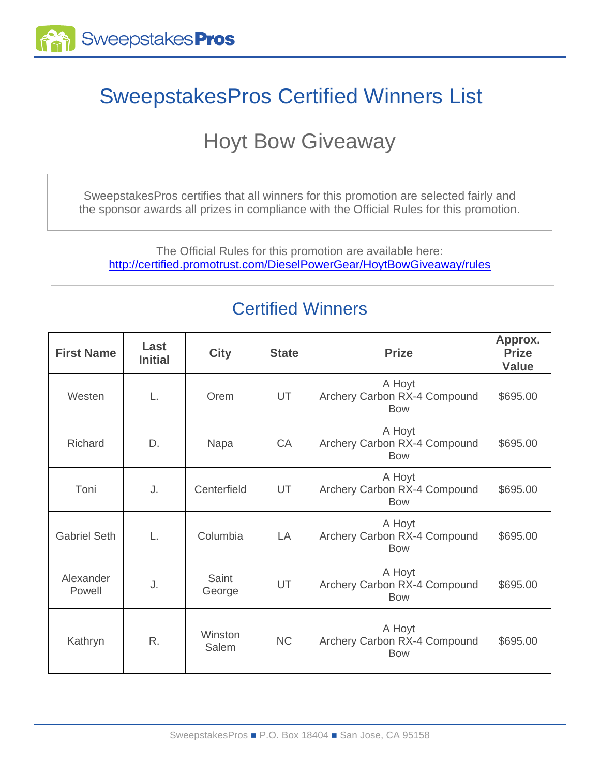## SweepstakesPros Certified Winners List

## Hoyt Bow Giveaway

SweepstakesPros certifies that all winners for this promotion are selected fairly and the sponsor awards all prizes in compliance with the Official Rules for this promotion.

The Official Rules for this promotion are available here: http://certified.promotrust.com/DieselPowerGear/HoytBowGiveaway/rules

| <b>First Name</b>   | Last<br><b>Initial</b> | <b>City</b>      | <b>State</b> | <b>Prize</b>                                         | Approx.<br><b>Prize</b><br><b>Value</b> |
|---------------------|------------------------|------------------|--------------|------------------------------------------------------|-----------------------------------------|
| Westen              | L.                     | Orem             | <b>UT</b>    | A Hoyt<br>Archery Carbon RX-4 Compound<br><b>Bow</b> | \$695.00                                |
| Richard             | D.                     | Napa             | CA           | A Hoyt<br>Archery Carbon RX-4 Compound<br><b>Bow</b> | \$695.00                                |
| Toni                | J.                     | Centerfield      | <b>UT</b>    | A Hoyt<br>Archery Carbon RX-4 Compound<br><b>Bow</b> | \$695.00                                |
| <b>Gabriel Seth</b> |                        | Columbia         | LA           | A Hoyt<br>Archery Carbon RX-4 Compound<br><b>Bow</b> | \$695.00                                |
| Alexander<br>Powell | J.                     | Saint<br>George  | UT           | A Hoyt<br>Archery Carbon RX-4 Compound<br><b>Bow</b> | \$695.00                                |
| Kathryn             | R.                     | Winston<br>Salem | <b>NC</b>    | A Hoyt<br>Archery Carbon RX-4 Compound<br><b>Bow</b> | \$695.00                                |

## Certified Winners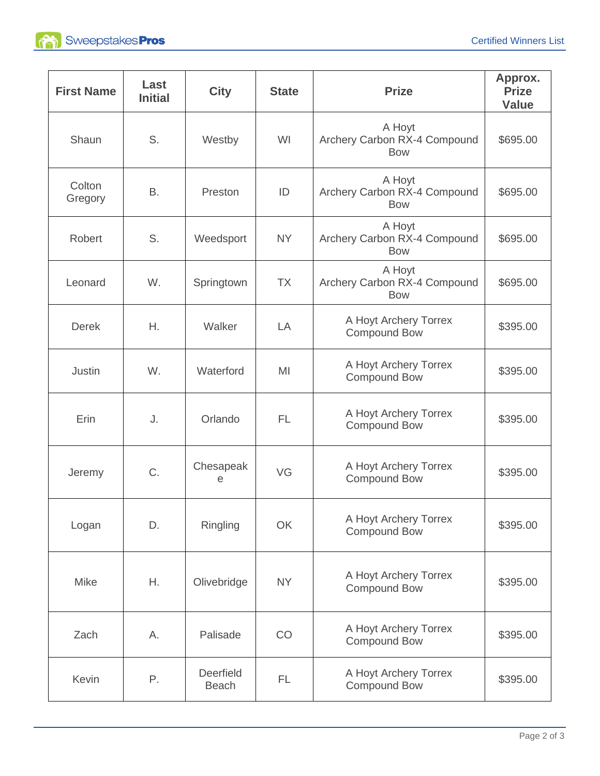| <b>First Name</b> | Last<br><b>Initial</b> | <b>City</b>                      | <b>State</b> | <b>Prize</b>                                         | Approx.<br><b>Prize</b><br><b>Value</b> |
|-------------------|------------------------|----------------------------------|--------------|------------------------------------------------------|-----------------------------------------|
| Shaun             | S.                     | Westby                           | WI           | A Hoyt<br>Archery Carbon RX-4 Compound<br><b>Bow</b> | \$695.00                                |
| Colton<br>Gregory | B.                     | Preston                          | ID           | A Hoyt<br>Archery Carbon RX-4 Compound<br><b>Bow</b> | \$695.00                                |
| Robert            | S.                     | Weedsport                        | <b>NY</b>    | A Hoyt<br>Archery Carbon RX-4 Compound<br><b>Bow</b> | \$695.00                                |
| Leonard           | W.                     | Springtown                       | <b>TX</b>    | A Hoyt<br>Archery Carbon RX-4 Compound<br><b>Bow</b> | \$695.00                                |
| <b>Derek</b>      | Η.                     | Walker                           | LA           | A Hoyt Archery Torrex<br><b>Compound Bow</b>         | \$395.00                                |
| Justin            | W.                     | Waterford                        | MI           | A Hoyt Archery Torrex<br><b>Compound Bow</b>         | \$395.00                                |
| Erin              | J.                     | Orlando                          | <b>FL</b>    | A Hoyt Archery Torrex<br><b>Compound Bow</b>         | \$395.00                                |
| Jeremy            | C.                     | Chesapeak<br>e                   | VG           | A Hoyt Archery Torrex<br><b>Compound Bow</b>         | \$395.00                                |
| Logan             | D.                     | Ringling                         | <b>OK</b>    | A Hoyt Archery Torrex<br><b>Compound Bow</b>         | \$395.00                                |
| Mike              | Η.                     | Olivebridge                      | <b>NY</b>    | A Hoyt Archery Torrex<br><b>Compound Bow</b>         | \$395.00                                |
| Zach              | А.                     | Palisade                         | CO           | A Hoyt Archery Torrex<br><b>Compound Bow</b>         | \$395.00                                |
| Kevin             | Ρ.                     | <b>Deerfield</b><br><b>Beach</b> | FL.          | A Hoyt Archery Torrex<br><b>Compound Bow</b>         | \$395.00                                |